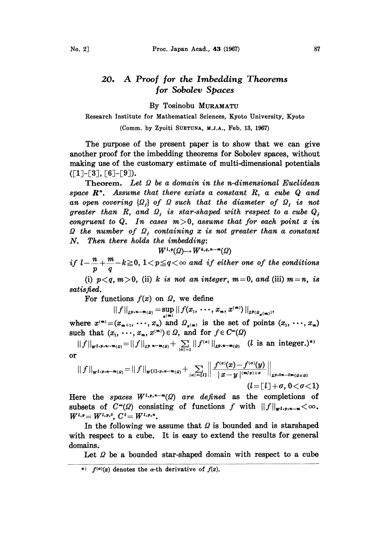## 20. A Proof for the Imbedding Theorems for Sobolev Spaces

By Tosinobu MURAMATU

Research Institute for Mathematical Sciences, Kyoto University, Kyoto

(Comm. by Zyoiti SUETUNA, M.J.A., Feb. 13, 1967)

The purpose of the present paper is to show that we can give another proof for the imbedding theorems for Sobolev spaces, without making use of the customary estimate of multi-dimensional potentials  $([1] - [3], [6] - [9]).$ 

Theorem. Let  $\Omega$  be a domain in the n-dimensional Euclidean space  $\mathbb{R}^n$ . Assume that there exists a constant  $R$ , a cube  $Q$  and an open covering  $\{\Omega_j\}$  of  $\Omega$  such that the diameter of  $\Omega_j$  is not greater than R, and  $\Omega_i$  is star-shaped with respect to a cube  $Q_i$ congruent to Q. In cases  $m>0$ , assume that for each point x in  $\Omega$  the number of  $\Omega_i$  containing x is not greater than a constant N. Then there holds the imbedding:

$$
W^{l,p}(\Omega)\to W^{k,q,n-m}(\Omega)
$$

if  $l-\frac{n}{p}+\frac{m}{q}-k{\geq}0,$   $1{<}p{\leq}q{<}\infty$  and if either one of the conditions

(i)  $p < q$ ,  $m > 0$ , (ii) k is not an integer,  $m = 0$ , and (iii)  $m = n$ , is satisfied.

For functions  $f(x)$  on  $\Omega$ , we define

 $||f||_{L^{p,n-m}(\Omega)} = \sup_{x^{(m)}} ||f(x_1, \dots, x_m, x^{(m)})||_{L^{p}(\Omega_{x^{(m)}})},$ 

where  $x^{(m)} = (x_{m+1}, \dots, x_n)$  and  $\Omega_{x^{(m)}}$  is the set of points  $(x_1, \dots, x_m)$ such that  $(x_1, \dots, x_m, x^{(m)}) \in \Omega$ , and for  $f \in C^{\infty}(\Omega)$ 

 $||f||_{w^{1,p,n-m}(a)} = ||f||_{L^p n-m(a)} + \sum_{|\alpha|=l} ||f^{(\alpha)}||_{L^p,n-m(a)}$  (*l* is an integer.)\*' or

$$
||f||_{\mathbf{w}^{l,p,n-m}(\Omega)} = ||f||_{\mathbf{w}^{[l]},p,n-m}(\Omega)} + \sum_{|\alpha|= [l]} \left\| \frac{f^{(\alpha)}(x) - f^{(\alpha)}(y)}{||x-y||^{(m/p)+\sigma}} \right\|_{L^{p,2n-2m}(\Omega \times \Omega)} (l = [l] + \sigma, 0 < \sigma < 1)
$$

Here the spaces  $W^{l,p,n-m}(\Omega)$  are defined as the completions of subsets of  $C^{\infty}(\Omega)$  consisting of functions f with  $||f||_{\mathbf{w}^{1,p,n-m}} < \infty$ .  $W^{i,p} = W^{i,p,0}, C^i = W^{i,p,n}.$ 

 $U = W^{l,p,0}, C^l = W^{l,p,n}.$ <br>In the following we assume that  $\Omega$  is bounded and is starshaped with respect to a cube. It is easy to extend the results for general domains.

Let  $\Omega$  be a bounded star-shaped domain with respect to a cube

\*)  $f^{(\alpha)}(x)$  denotes the  $\alpha$ -th derivative of  $f(x)$ .

 $\overline{\phantom{a}}$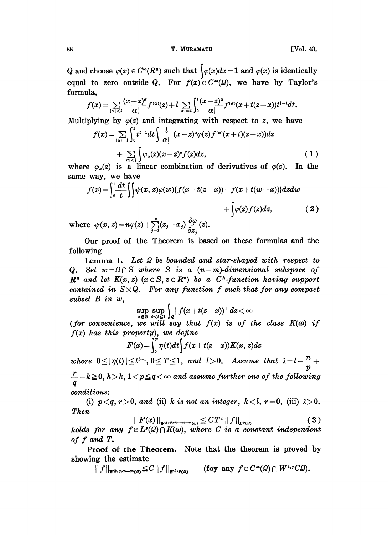## 88 **T. MURAMATU** [Vol. 43,

Q and choose  $\varphi(x) \in C^{\infty}(R^*)$  such that  $\bigg(\varphi(x)dx=1$  and  $\varphi(x)$  is identically equal to zero outside Q. For  $f(x) \in C^{\infty}(\Omega)$ , we have by Taylor's formula,

$$
f(x) = \sum_{|\alpha|
$$

Multiplying by  $\varphi(z)$  and integrating with respect to z, we have

$$
f(x) = \sum_{|\alpha|=i} \int_0^1 t^{i-1} dt \int \frac{l}{\alpha!} (x-z)^{\alpha} \varphi(z) f^{(\alpha)}(x+t)(z-x) dz
$$
  
+ 
$$
\sum_{|\alpha| (1)
$$

where  $\varphi_a(z)$  is a linear combination of derivatives of  $\varphi(z)$ . In the same way, we have

$$
f(x) = \int_0^1 \frac{dt}{t} \iint \psi(x, z) \varphi(w) \{ f(x + t(z - x)) - f(x + t(w - x)) \} dz dw
$$
  
+ 
$$
\int \varphi(z) f(z) dz,
$$
 (2)

where  $\psi(x, z) = n\varphi(z) + \sum_{j=1}^{\infty} (z_j - x_j) \frac{\partial \psi}{\partial z_j}(z)$ .

Our proof of the Theorem is based on these fomulas and the following

Lemma 1. Let  $\Omega$  be bounded and star-shaped with respect to Q. Set  $w=0$   $\cap$  S where S is a  $(n-m)$ -dimensional subspace of  $\mathbb{R}^n$  and let  $K(x, z)$   $(x \in S, z \in \mathbb{R}^n)$  be a C<sup>n</sup>-function having support contained in  $S \times Q$ . For any function f such that for any compact subset  $B$  in  $w$ ,

$$
\sup_{z\in B}\sup_{0
$$

(for convenience, we will say that  $f(x)$  is of the class  $K(\omega)$  if  $f(x)$  has this property), we define

$$
F(x) = \int_0^x \eta(t) dt \int f(x+t(z-x)) K(x, z) dz
$$

where  $0 \leq |\eta(t)| \leq t^{l-1}, 0 \leq T \leq 1$ , and  $l>0$ . Assume that  $\lambda = l - \frac{n}{n} +$  $\frac{r}{q}-k\geqq 0, h > k, 1 < p \leqq q < \infty$  and assume further one of the following conditions:

(i)  $p < q$ ,  $r > 0$ , and (ii) k is not an integer,  $k < l$ ,  $r = 0$ , (iii)  $\lambda > 0$ . Then

$$
|| F(x) ||_{W^{k,q,n-m-r}(\omega)} \leq C T^{\lambda} || f ||_{L^{p}(Q)}
$$
 (3)

holds for any  $f \in L^p(\Omega) \cap K(\omega)$ , where C is a constant independent of  $f$  and  $T$ .

Proof of the Theorem. Note that the theorem is proved by showing the estimate

 $||f||_{\mathbf{w}^{k,q,n-m}(q)} \leq C||f||_{\mathbf{w}^{l,p}(q)}$  (foy any  $f \in C^{\infty}(Q) \cap W^{l,p}(Q)$ ).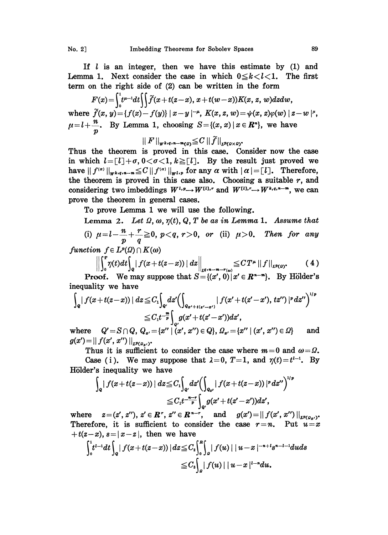If  $l$  is an integer, then we have this estimate by  $(1)$  and Lemma 1. Next consider the case in which  $0 \le k < l < 1$ . The first term on the right side of (2) can be written in the form

$$
F(x) = \int_0^1 t^{\mu-1} dt \iint \widetilde{f}(x+t(z-x), x+t(w-x)) K(x, z, w) dz dw,
$$
  
where  $\widetilde{f}(x, y) = \{f(x) - f(y)\} |x-y|^{-\mu}, K(x, z, w) = \psi(x, z)\varphi(w) |z-w|^{\mu},$   
 $\mu = l + \frac{n}{p}.$  By Lemma 1, choosing  $S = \{(x, x) | x \in \mathbb{R}^n\}$ , we have

$$
||F||_{W^{k,q,n-m}(0)} \leqq C ||\widetilde{f}||_{L^{p}(\Omega \times \Omega)}.
$$

Thus the theorem is proved in this case. Consider now the case in which  $l = [l] + \sigma$ ,  $0 < \sigma < 1$ ,  $k \geq [l]$ . By the result just proved we have  $|| f^{(\alpha)} ||_{\mathbf{w}^{k,q}} = \leq C || f^{(\alpha)} ||_{\mathbf{w}^{l,p}}$  for any  $\alpha$  with  $|\alpha| = [l]$ . Therefore, the theorem is proved in this case also. Choosing a suitable  $r$ , and considering two imbeddings  $W^{l,p} \to W^{l,l,r}$  and  $W^{l,l,r} \to W^{k,q,n-m}$ , we can prove the theorem in general cases.

To prove Lemma <sup>1</sup> we will use the following.

Lemma 2. Let  $\Omega$ ,  $\omega$ ,  $\eta(t)$ ,  $Q$ ,  $T$  be as in Lemma 1. Assume that (i)  $\mu = l - \frac{n}{r} + \frac{r}{r} \ge 0$ ,  $p < q$ ,  $r > 0$ , or (ii)  $\mu > 0$ . Then for any  $p \qquad q$ 

function  $f \in L^p(\Omega) \cap K(\omega)$ 

$$
\left\|\int_a^T \eta(t)dt\right\|_2 \left\|f(x+t(z-x))\right\|dz\right\|_{L^{q,n-m-r(\omega)}} \leq C T^{\mu}\left\|f\right\|_{L^p(\Omega)}. \tag{4}
$$

**Proof.** We may suppose that  $S = \{(x', 0) | x' \in \mathbb{R}^{n-m} \}$ . By Hölder's inequality we have

$$
\int_{Q} |f(x+t(z-x))| dz \leq C_{1} \int_{Q} dz' \Biggl(\int_{Q_{x'+t(x'-x')}} |f(x'+t(z'-x'),tz'')|^{p} dz''\Biggr)^{1/p}
$$
  

$$
\leq C_{1} t^{-\frac{m}{p}} \int_{Q} g(x'+t(z'-x')) dz',
$$

where  $Q' = S \cap Q$ ,  $Q_{x'} = \{x'' \mid (x', x'') \in Q\}$ ,  $Q_{x'} = \{x'' \mid (x', x'') \in Q\}$  and  $g(x')=||f(x', x'')||_{L^{p}(Q_{\infty})}.$ 

Thus it is sufficient to consider the case where  $m=0$  and  $\omega=\Omega$ .

Case (i). We may suppose that  $\lambda = 0$ ,  $T=1$ , and  $\eta(t)=t^{l-1}$ . By Hölder's inequality we have

$$
\begin{aligned} \int_{\mathbf{Q}} \vert \, f(x+t(z-x)) \, \vert \, \, dz \!\leq\! C_1 \!\! \int_{\mathbf{Q}'} \! dz' \! \left( \int_{\mathbf{Q}_x} \vert \, f(x+t(z-x)) \, \vert^p \, dz'' \right)^{1/p} \\ \leq\! C_1 t^{-\frac{n-r}{p}} \! \int_{\mathbf{Q}'} \! g(x'\!+\!t(z'\!-\!x') ) dz', \end{aligned}
$$

where  $z = (z', z'')$ ,  $z' \in \mathbb{R}^r$ ,  $z'' \in \mathbb{R}^{n-r}$ , and  $g(x') = || f(x', x'') ||_{L^p(g_{\alpha'})^*}$ Therefore, it is sufficient to consider the case  $r=n$ . Put  $u=x$  $+t(z-x), s=|x-z|$ , then we have

$$
\int_{0}^{1} t^{l-1} dt \int_{Q} |f(x+t(z-x))| dz \leq C_{2} \int_{0}^{R} \int_{Q} |f(u)| |u-x|^{-n+l} s^{n-l-1} du ds
$$
  

$$
\leq C_{3} \int_{Q} |f(u)| |u-x|^{l-n} du.
$$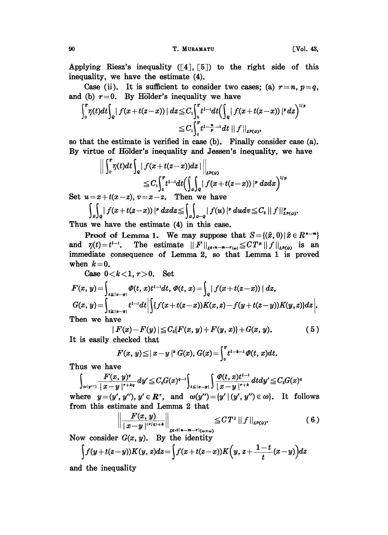90 **T. MURAMATU** [Vol. 43,

Applying Riesz's inequality  $([4], [5])$  to the right side of this inequality, we have the estimate (4).

Case (ii). It is sufficient to consider two cases; (a)  $r=n$ ,  $p=q$ , and (b)  $r=0$ . By Hölder's inequality we have

$$
\int_a^x \eta(t)dt \int_{Q} |f(x+t(z-x))| dz \leq C_1 \int_0^x t^{t-1}dt \Bigl(\int_{Q} |f(x+t(z-x))|^p dz\Bigr)^{1/2}
$$
  

$$
\leq C_1 \int_0^x t^{t-\frac{n}{p}-1} dt \, ||f||_{L^{p}(Q)},
$$

so that the estimate is verified in case (b). Finally consider case (a). By virtue of Hölder's inequality and Jessen's inequality, we have

$$
\left\| \int_0^T \eta(t) dt \int_Q |f(x+t(z-x))dz| \right\|_{L^p(\Omega)} \leq C_1 \int_0^T t^{1-1} dt \left( \int_Q \int_Q |f(x+t(z-x))|^p dz dx \right)^{1/p}
$$

Set  $u = x+t(x-z)$ ,  $v=x-z$ . Then we have

$$
\int_{\rho} \int_{\rho} |f(x+t(z-x))|^p dx dz \leq \int_{\rho} \int_{\rho-q} |f(u)|^p du dv \leq C_2 ||f||_{L^p(\rho)}^p.
$$

Thus we have the estimate (4) in this case.

**Proof of Lemma 1.** We may suppose that  $S = \{(\hat{x}, 0) | \hat{x} \in R^{n-m}\}\$ and  $\eta(t)=t^{t-1}$ . The estimate  $||F||_{L^{q}(n-m-r(\omega))}\leq CT^{\mu}||f||_{L^{p}(\Omega)}$  is an immediate consequence of Lemma 2, so that Lemma 1 is proved when  $k=0$ .

Case  $0 < k < 1, r > 0$ . Set

$$
F(x, y) = \int_{t \leq |x-y|} \varPhi(t, x)t^{1-1}dt, \varPhi(t, x) = \int_{Q} |f(x+t(z-x))| dz,
$$
  
\n
$$
G(x, y) = \int_{t \geq |x-y|} t^{1-1}dt \Big| \int \{f(x+t(z-x))K(x, z) - f(y+t(z-y))K(y, z)\} dz \Big|.
$$
  
\nThen we have

$$
|F(x)-F(y)| \leq C_0\{F(x, y)+F(y, x)\}+G(x, y). \tag{5}
$$

It is easily checked that

$$
F(x, y) \leq |x-y|^k G(x), G(x) = \int_0^x t^{1-k-1} \varPhi(t, x) dt.
$$

Thus we have

$$
\int_{u(y'')} \frac{F(x, y)^{q}}{|x - y|^{r + k q}} dy' \leq C_{2} G(x)^{q - 1} \int_{t \leq |x - y|} \int \frac{\phi(t, x)t^{t - 1}}{|x - y|^{r + k}} dt dy' \leq C_{3} G(x)^{q}
$$

where  $y=(y', y''), y' \in \mathbb{R}^r$ , and  $\omega(y'')=[y'|(y', y'') \in \omega]$ . It follows from this estimate and Lemma 2 that

$$
\left\|\frac{F(x,y)}{|x-y|^{(r/q)+k}}\right\|_{L^{q,2(n-m-r)}(\omega\times\omega)} \leq CT^{\lambda} \left\|f\right\|_{L^{p}(\Omega)}.
$$
 (6)

Now consider  $G(x, y)$ . By the identity

$$
\int f(y+t(z-y))K(y,z)dz = \int f(x+t(z-x))K\Big(y, z+\frac{1-t}{t}(x-y)\Big)dz
$$

and the inequality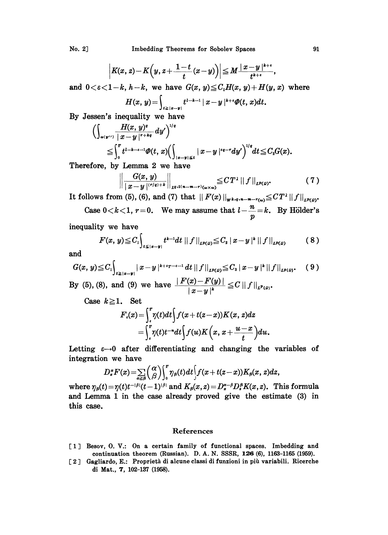No. 2] **Imbedding Theorems for Sobolev Spaces** 91

$$
\left|K(x,z)-K\Big(y,z+\frac{1-t}{t}(x-y)\Big)\right|\leq M\frac{|x-y|^{k+\varepsilon}}{t^{k+\varepsilon}},
$$

and  $0 < \varepsilon < 1-k$ ,  $h-k$ , we have  $G(x, y) \leq C_1 H(x, y) + H(y, x)$  where

$$
H(x, y) = \int_{t \geq |x-y|} t^{t-k-1} |x-y|^{k+\epsilon} \varPhi(t, x) dt.
$$

By Jessen's inequality we have

$$
\begin{aligned}&\Bigl(\int_{u(y'')}\frac{H(x,\,y)^q}{|\,x-y\,|^{r+kq}}\,dy'\Bigr)^{1/q}\\&\leq \int_0^r t^{l-k-\epsilon-1}\varPhi(t,\,x)\Bigl(\int_{|x-y|\leqslant t}|\,x-y\,|^{*\,q-r}dy'\Bigr)^{1/q}\,dt\!\leq\! C_zG(x).\end{aligned}
$$

Therefore, by Lemma 2 we have

$$
\left\| \frac{G(x, y)}{|x-y|^{(\tau/q)+k}} \right\|_{L^{q, 2(n-m-r)}(\omega \times \omega)} \leq C T^{\lambda} \left\| f \right\|_{L^{p}(\Omega)}.
$$
 (7)

It follows from (5), (6), and (7) that  $|| F(x) ||_{\mathbf{w}^{k,q,n-m-r}(\omega)} \leq C T^{\lambda} || f ||_{L^{p}(\Omega)}$ .

Case  $0 < k < 1$ ,  $r = 0$ . We may assume that  $l - \frac{n}{-} = k$ . By Hölder's  $\boldsymbol{p}$ 

inequality we have

$$
F(x, y) \leq C_{1} \int_{t \leq |x-y|} t^{k-1} dt \, ||f||_{L^{p}(g)} \leq C_{2} |x-y|^{k} ||f||_{L^{p}(g)}
$$
(8)

and

$$
G(x, y) \leq C_{1} \int_{t \geq |x-y|} |x-y|^{k+\epsilon_{T}-\epsilon_{-1}} dt ||f||_{L^{p}(D)} \leq C_{3} |x-y|^{k} ||f||_{L^{p}(D)}.
$$
 (9)

By (5), (8), and (9) we have  $\frac{|F(x)-F(y)|}{|x-y|^k} \leq C ||f||_{L^p(\rho)}$ .

Case 
$$
k \ge 1
$$
. Set  
\n
$$
F_{\epsilon}(x) = \int_{\epsilon}^{T} \eta(t) dt \int f(x+t(x-x)) K(x, z) dz
$$
\n
$$
= \int_{\epsilon}^{T} \eta(t) t^{-n} dt \int f(u) K\left(x, x + \frac{u-x}{t}\right) du.
$$

Letting  $\varepsilon \rightarrow 0$  after differentiating and changing the variables of integration we have

$$
D_{x}^{\alpha}F(x) = \sum_{\alpha \geq \beta} {\alpha \choose \beta} \int_{0}^{x} \gamma_{\beta}(t) dt \int f(x+t(z-x)) K_{\beta}(x, z) dz,
$$

where  $\eta_{\beta}(t) = \eta(t)t^{-|\beta|}(t-1)^{|\beta|}$  and  $K_{\beta}(x,z) = D_x^{\alpha-\beta}D_x^{\beta}K(x,z)$ . This formula and Lemma <sup>1</sup> in the case already proved give the estimate (3) in this case.

## References

- [1] Besov, O. V.: On a certain family of functional spaces. Imbedding and continuation theorem (Russian). D.A.N. SSSR, 126 (6), 1163-1165 (1959).
- [2] Gagliardo, E.: Proprietà di alcune classi di funzioni in più variabili. Ricerche di Mat., 7, 102-137 (1958).